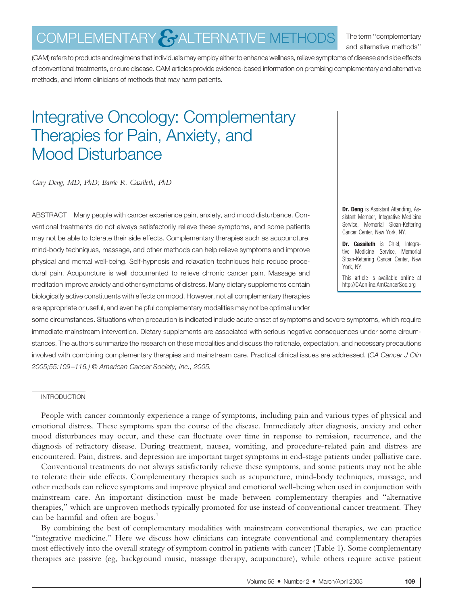# COMPLEMENTARY*&*ALTERNATIVE METHODS The term ''complementary

and alternative methods''

(CAM) refers to products and regimens that individuals may employ either to enhance wellness, relieve symptoms of disease and side effects of conventional treatments, or cure disease. CAM articles provide evidence-based information on promising complementary and alternative methods, and inform clinicians of methods that may harm patients.

## Integrative Oncology: Complementary Therapies for Pain, Anxiety, and Mood Disturbance

*Gary Deng, MD, PhD; Barrie R. Cassileth, PhD*

ABSTRACT Many people with cancer experience pain, anxiety, and mood disturbance. Conventional treatments do not always satisfactorily relieve these symptoms, and some patients may not be able to tolerate their side effects. Complementary therapies such as acupuncture, mind-body techniques, massage, and other methods can help relieve symptoms and improve physical and mental well-being. Self-hypnosis and relaxation techniques help reduce procedural pain. Acupuncture is well documented to relieve chronic cancer pain. Massage and meditation improve anxiety and other symptoms of distress. Many dietary supplements contain biologically active constituents with effects on mood. However, not all complementary therapies are appropriate or useful, and even helpful complementary modalities may not be optimal under

**Dr. Deng** is Assistant Attending, Assistant Member, Integrative Medicine Service, Memorial Sloan-Kettering Cancer Center, New York, NY.

**Dr. Cassileth** is Chief, Integrative Medicine Service, Memorial Sloan-Kettering Cancer Center, New York, NY.

This article is available online at http://CAonline.AmCancerSoc.org

some circumstances. Situations when precaution is indicated include acute onset of symptoms and severe symptoms, which require immediate mainstream intervention. Dietary supplements are associated with serious negative consequences under some circumstances. The authors summarize the research on these modalities and discuss the rationale, expectation, and necessary precautions involved with combining complementary therapies and mainstream care. Practical clinical issues are addressed. (*CA Cancer J Clin 2005;55:109 –116.) © American Cancer Society, Inc., 2005.*

#### **INTRODUCTION**

People with cancer commonly experience a range of symptoms, including pain and various types of physical and emotional distress. These symptoms span the course of the disease. Immediately after diagnosis, anxiety and other mood disturbances may occur, and these can fluctuate over time in response to remission, recurrence, and the diagnosis of refractory disease. During treatment, nausea, vomiting, and procedure-related pain and distress are encountered. Pain, distress, and depression are important target symptoms in end-stage patients under palliative care.

Conventional treatments do not always satisfactorily relieve these symptoms, and some patients may not be able to tolerate their side effects. Complementary therapies such as acupuncture, mind-body techniques, massage, and other methods can relieve symptoms and improve physical and emotional well-being when used in conjunction with mainstream care. An important distinction must be made between complementary therapies and "alternative therapies," which are unproven methods typically promoted for use instead of conventional cancer treatment. They can be harmful and often are bogus. $<sup>1</sup>$ </sup>

By combining the best of complementary modalities with mainstream conventional therapies, we can practice "integrative medicine." Here we discuss how clinicians can integrate conventional and complementary therapies most effectively into the overall strategy of symptom control in patients with cancer (Table 1). Some complementary therapies are passive (eg, background music, massage therapy, acupuncture), while others require active patient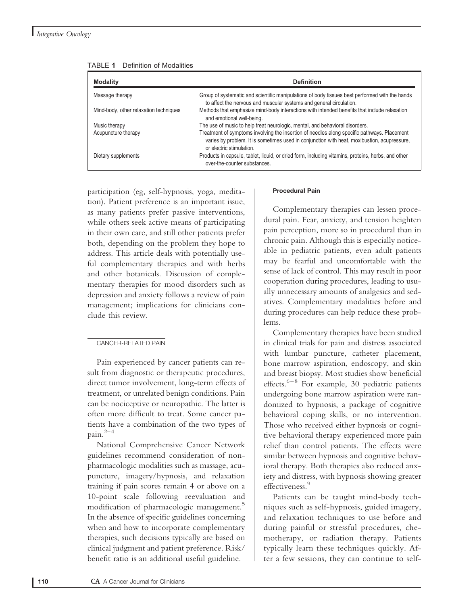| <b>Modality</b>                        | <b>Definition</b>                                                                                                                                                                                                      |
|----------------------------------------|------------------------------------------------------------------------------------------------------------------------------------------------------------------------------------------------------------------------|
| Massage therapy                        | Group of systematic and scientific manipulations of body tissues best performed with the hands<br>to affect the nervous and muscular systems and general circulation.                                                  |
| Mind-body, other relaxation techniques | Methods that emphasize mind-body interactions with intended benefits that include relaxation<br>and emotional well-being.                                                                                              |
| Music therapy                          | The use of music to help treat neurologic, mental, and behavioral disorders.                                                                                                                                           |
| Acupuncture therapy                    | Treatment of symptoms involving the insertion of needles along specific pathways. Placement<br>varies by problem. It is sometimes used in conjunction with heat, moxibustion, acupressure,<br>or electric stimulation. |
| Dietary supplements                    | Products in capsule, tablet, liquid, or dried form, including vitamins, proteins, herbs, and other<br>over-the-counter substances.                                                                                     |

| <b>TABLE 1</b> |  | Definition of Modalities |
|----------------|--|--------------------------|
|----------------|--|--------------------------|

participation (eg, self-hypnosis, yoga, meditation). Patient preference is an important issue, as many patients prefer passive interventions, while others seek active means of participating in their own care, and still other patients prefer both, depending on the problem they hope to address. This article deals with potentially useful complementary therapies and with herbs and other botanicals. Discussion of complementary therapies for mood disorders such as depression and anxiety follows a review of pain management; implications for clinicians conclude this review.

### CANCER-RELATED PAIN

Pain experienced by cancer patients can result from diagnostic or therapeutic procedures, direct tumor involvement, long-term effects of treatment, or unrelated benign conditions. Pain can be nociceptive or neuropathic. The latter is often more difficult to treat. Some cancer patients have a combination of the two types of pain. $2-4$ 

National Comprehensive Cancer Network guidelines recommend consideration of nonpharmacologic modalities such as massage, acupuncture, imagery/hypnosis, and relaxation training if pain scores remain 4 or above on a 10-point scale following reevaluation and modification of pharmacologic management.<sup>5</sup> In the absence of specific guidelines concerning when and how to incorporate complementary therapies, such decisions typically are based on clinical judgment and patient preference. Risk/ benefit ratio is an additional useful guideline.

#### **Procedural Pain**

Complementary therapies can lessen procedural pain. Fear, anxiety, and tension heighten pain perception, more so in procedural than in chronic pain. Although this is especially noticeable in pediatric patients, even adult patients may be fearful and uncomfortable with the sense of lack of control. This may result in poor cooperation during procedures, leading to usually unnecessary amounts of analgesics and sedatives. Complementary modalities before and during procedures can help reduce these problems.

Complementary therapies have been studied in clinical trials for pain and distress associated with lumbar puncture, catheter placement, bone marrow aspiration, endoscopy, and skin and breast biopsy. Most studies show beneficial effects. $6-8$  For example, 30 pediatric patients undergoing bone marrow aspiration were randomized to hypnosis, a package of cognitive behavioral coping skills, or no intervention. Those who received either hypnosis or cognitive behavioral therapy experienced more pain relief than control patients. The effects were similar between hypnosis and cognitive behavioral therapy. Both therapies also reduced anxiety and distress, with hypnosis showing greater effectiveness.9

Patients can be taught mind-body techniques such as self-hypnosis, guided imagery, and relaxation techniques to use before and during painful or stressful procedures, chemotherapy, or radiation therapy. Patients typically learn these techniques quickly. After a few sessions, they can continue to self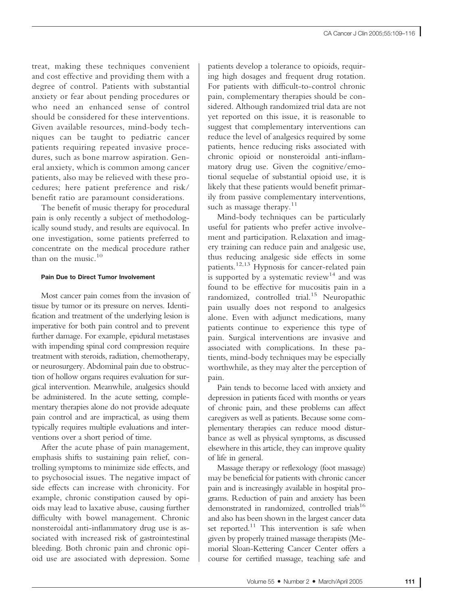treat, making these techniques convenient and cost effective and providing them with a degree of control. Patients with substantial anxiety or fear about pending procedures or who need an enhanced sense of control should be considered for these interventions. Given available resources, mind-body techniques can be taught to pediatric cancer patients requiring repeated invasive procedures, such as bone marrow aspiration. General anxiety, which is common among cancer patients, also may be relieved with these procedures; here patient preference and risk/ benefit ratio are paramount considerations.

The benefit of music therapy for procedural pain is only recently a subject of methodologically sound study, and results are equivocal. In one investigation, some patients preferred to concentrate on the medical procedure rather than on the music.<sup>10</sup>

### **Pain Due to Direct Tumor Involvement**

Most cancer pain comes from the invasion of tissue by tumor or its pressure on nerves. Identification and treatment of the underlying lesion is imperative for both pain control and to prevent further damage. For example, epidural metastases with impending spinal cord compression require treatment with steroids, radiation, chemotherapy, or neurosurgery. Abdominal pain due to obstruction of hollow organs requires evaluation for surgical intervention. Meanwhile, analgesics should be administered. In the acute setting, complementary therapies alone do not provide adequate pain control and are impractical, as using them typically requires multiple evaluations and interventions over a short period of time.

After the acute phase of pain management, emphasis shifts to sustaining pain relief, controlling symptoms to minimize side effects, and to psychosocial issues. The negative impact of side effects can increase with chronicity. For example, chronic constipation caused by opioids may lead to laxative abuse, causing further difficulty with bowel management. Chronic nonsteroidal anti-inflammatory drug use is associated with increased risk of gastrointestinal bleeding. Both chronic pain and chronic opioid use are associated with depression. Some

patients develop a tolerance to opioids, requiring high dosages and frequent drug rotation. For patients with difficult-to-control chronic pain, complementary therapies should be considered. Although randomized trial data are not yet reported on this issue, it is reasonable to suggest that complementary interventions can reduce the level of analgesics required by some patients, hence reducing risks associated with chronic opioid or nonsteroidal anti-inflammatory drug use. Given the cognitive/emotional sequelae of substantial opioid use, it is likely that these patients would benefit primarily from passive complementary interventions, such as massage therapy. $11$ 

Mind-body techniques can be particularly useful for patients who prefer active involvement and participation. Relaxation and imagery training can reduce pain and analgesic use, thus reducing analgesic side effects in some patients.<sup>12,13</sup> Hypnosis for cancer-related pain is supported by a systematic review<sup>14</sup> and was found to be effective for mucositis pain in a randomized, controlled trial. $15$  Neuropathic pain usually does not respond to analgesics alone. Even with adjunct medications, many patients continue to experience this type of pain. Surgical interventions are invasive and associated with complications. In these patients, mind-body techniques may be especially worthwhile, as they may alter the perception of pain.

Pain tends to become laced with anxiety and depression in patients faced with months or years of chronic pain, and these problems can affect caregivers as well as patients. Because some complementary therapies can reduce mood disturbance as well as physical symptoms, as discussed elsewhere in this article, they can improve quality of life in general.

Massage therapy or reflexology (foot massage) may be beneficial for patients with chronic cancer pain and is increasingly available in hospital programs. Reduction of pain and anxiety has been demonstrated in randomized, controlled trials<sup>16</sup> and also has been shown in the largest cancer data set reported. $11$  This intervention is safe when given by properly trained massage therapists (Memorial Sloan-Kettering Cancer Center offers a course for certified massage, teaching safe and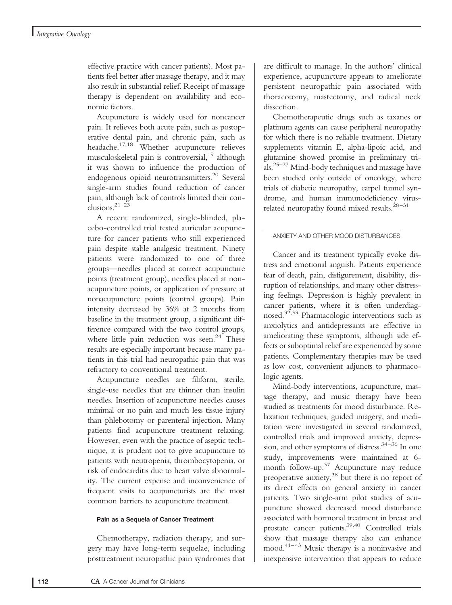effective practice with cancer patients). Most patients feel better after massage therapy, and it may also result in substantial relief. Receipt of massage therapy is dependent on availability and economic factors.

Acupuncture is widely used for noncancer pain. It relieves both acute pain, such as postoperative dental pain, and chronic pain, such as headache.17,18 Whether acupuncture relieves musculoskeletal pain is controversial,<sup>19</sup> although it was shown to influence the production of endogenous opioid neurotransmitters.<sup>20</sup> Several single-arm studies found reduction of cancer pain, although lack of controls limited their con- $\text{clusions.}^{21-23}$ 

A recent randomized, single-blinded, placebo-controlled trial tested auricular acupuncture for cancer patients who still experienced pain despite stable analgesic treatment. Ninety patients were randomized to one of three groups—needles placed at correct acupuncture points (treatment group), needles placed at nonacupuncture points, or application of pressure at nonacupuncture points (control groups). Pain intensity decreased by 36% at 2 months from baseline in the treatment group, a significant difference compared with the two control groups, where little pain reduction was seen. $24$  These results are especially important because many patients in this trial had neuropathic pain that was refractory to conventional treatment.

Acupuncture needles are filiform, sterile, single-use needles that are thinner than insulin needles. Insertion of acupuncture needles causes minimal or no pain and much less tissue injury than phlebotomy or parenteral injection. Many patients find acupuncture treatment relaxing. However, even with the practice of aseptic technique, it is prudent not to give acupuncture to patients with neutropenia, thrombocytopenia, or risk of endocarditis due to heart valve abnormality. The current expense and inconvenience of frequent visits to acupuncturists are the most common barriers to acupuncture treatment.

#### **Pain as a Sequela of Cancer Treatment**

Chemotherapy, radiation therapy, and surgery may have long-term sequelae, including posttreatment neuropathic pain syndromes that are difficult to manage. In the authors' clinical experience, acupuncture appears to ameliorate persistent neuropathic pain associated with thoracotomy, mastectomy, and radical neck dissection.

Chemotherapeutic drugs such as taxanes or platinum agents can cause peripheral neuropathy for which there is no reliable treatment. Dietary supplements vitamin E, alpha-lipoic acid, and glutamine showed promise in preliminary trials.25–27 Mind-body techniques and massage have been studied only outside of oncology, where trials of diabetic neuropathy, carpel tunnel syndrome, and human immunodeficiency virusrelated neuropathy found mixed results.<sup>28-31</sup>

### ANXIETY AND OTHER MOOD DISTURBANCES

Cancer and its treatment typically evoke distress and emotional anguish. Patients experience fear of death, pain, disfigurement, disability, disruption of relationships, and many other distressing feelings. Depression is highly prevalent in cancer patients, where it is often underdiagnosed.32,33 Pharmacologic interventions such as anxiolytics and antidepressants are effective in ameliorating these symptoms, although side effects or suboptimal relief are experienced by some patients. Complementary therapies may be used as low cost, convenient adjuncts to pharmacologic agents.

Mind-body interventions, acupuncture, massage therapy, and music therapy have been studied as treatments for mood disturbance. Relaxation techniques, guided imagery, and meditation were investigated in several randomized, controlled trials and improved anxiety, depression, and other symptoms of distress.  $34-36$  In one study, improvements were maintained at 6 month follow-up.<sup>37</sup> Acupuncture may reduce preoperative anxiety,<sup>38</sup> but there is no report of its direct effects on general anxiety in cancer patients. Two single-arm pilot studies of acupuncture showed decreased mood disturbance associated with hormonal treatment in breast and prostate cancer patients.39,40 Controlled trials show that massage therapy also can enhance mood.41–43 Music therapy is a noninvasive and inexpensive intervention that appears to reduce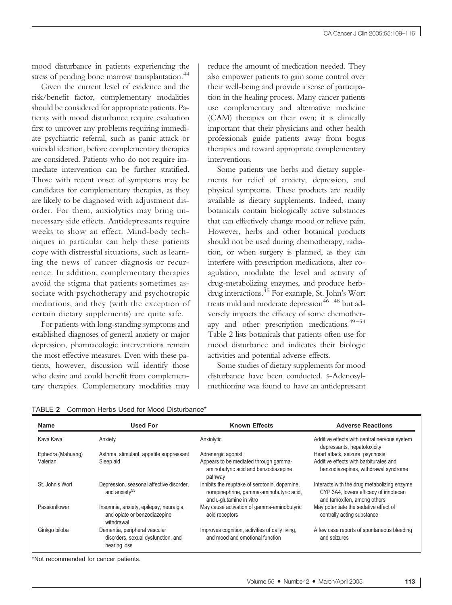mood disturbance in patients experiencing the stress of pending bone marrow transplantation.<sup>44</sup>

Given the current level of evidence and the risk/benefit factor, complementary modalities should be considered for appropriate patients. Patients with mood disturbance require evaluation first to uncover any problems requiring immediate psychiatric referral, such as panic attack or suicidal ideation, before complementary therapies are considered. Patients who do not require immediate intervention can be further stratified. Those with recent onset of symptoms may be candidates for complementary therapies, as they are likely to be diagnosed with adjustment disorder. For them, anxiolytics may bring unnecessary side effects. Antidepressants require weeks to show an effect. Mind-body techniques in particular can help these patients cope with distressful situations, such as learning the news of cancer diagnosis or recurrence. In addition, complementary therapies avoid the stigma that patients sometimes associate with psychotherapy and psychotropic mediations, and they (with the exception of certain dietary supplements) are quite safe.

For patients with long-standing symptoms and established diagnoses of general anxiety or major depression, pharmacologic interventions remain the most effective measures. Even with these patients, however, discussion will identify those who desire and could benefit from complementary therapies. Complementary modalities may reduce the amount of medication needed. They also empower patients to gain some control over their well-being and provide a sense of participation in the healing process. Many cancer patients use complementary and alternative medicine (CAM) therapies on their own; it is clinically important that their physicians and other health professionals guide patients away from bogus therapies and toward appropriate complementary interventions.

Some patients use herbs and dietary supplements for relief of anxiety, depression, and physical symptoms. These products are readily available as dietary supplements. Indeed, many botanicals contain biologically active substances that can effectively change mood or relieve pain. However, herbs and other botanical products should not be used during chemotherapy, radiation, or when surgery is planned, as they can interfere with prescription medications, alter coagulation, modulate the level and activity of drug-metabolizing enzymes, and produce herbdrug interactions.45 For example, St. John's Wort treats mild and moderate depression $46-48$  but adversely impacts the efficacy of some chemotherapy and other prescription medications.<sup>49-54</sup> Table 2 lists botanicals that patients often use for mood disturbance and indicates their biologic activities and potential adverse effects.

Some studies of dietary supplements for mood disturbance have been conducted. S-Adenosylmethionine was found to have an antidepressant

|  |  |  | <b>TABLE 2</b> Common Herbs Used for Mood Disturbance* |
|--|--|--|--------------------------------------------------------|
|  |  |  |                                                        |

| <b>Name</b>       | <b>Used For</b>                                                                       | <b>Known Effects</b>                                                                                                  | <b>Adverse Reactions</b>                                                                                             |
|-------------------|---------------------------------------------------------------------------------------|-----------------------------------------------------------------------------------------------------------------------|----------------------------------------------------------------------------------------------------------------------|
| Kava Kava         | Anxiety                                                                               | Anxiolytic                                                                                                            | Additive effects with central nervous system<br>depressants, hepatotoxicity                                          |
| Ephedra (Mahuang) | Asthma, stimulant, appetite suppressant                                               | Adrenergic agonist                                                                                                    | Heart attack, seizure, psychosis                                                                                     |
| Valerian          | Sleep aid                                                                             | Appears to be mediated through gamma-<br>aminobutyric acid and benzodiazepine<br>pathway                              | Additive effects with barbiturates and<br>benzodiazepines, withdrawal syndrome                                       |
| St. John's Wort   | Depression, seasonal affective disorder,<br>and anxiety <sup>55</sup>                 | Inhibits the reuptake of serotonin, dopamine,<br>norepinephrine, gamma-aminobutyric acid,<br>and L-glutamine in vitro | Interacts with the drug metabolizing enzyme<br>CYP 3A4, lowers efficacy of irinotecan<br>and tamoxifen, among others |
| Passionflower     | Insomnia, anxiety, epilepsy, neuralgia,<br>and opiate or benzodiazepine<br>withdrawal | May cause activation of gamma-aminobutyric<br>acid receptors                                                          | May potentiate the sedative effect of<br>centrally acting substance                                                  |
| Ginkgo biloba     | Dementia, peripheral vascular<br>disorders, sexual dysfunction, and<br>hearing loss   | Improves cognition, activities of daily living,<br>and mood and emotional function                                    | A few case reports of spontaneous bleeding<br>and seizures                                                           |

\*Not recommended for cancer patients.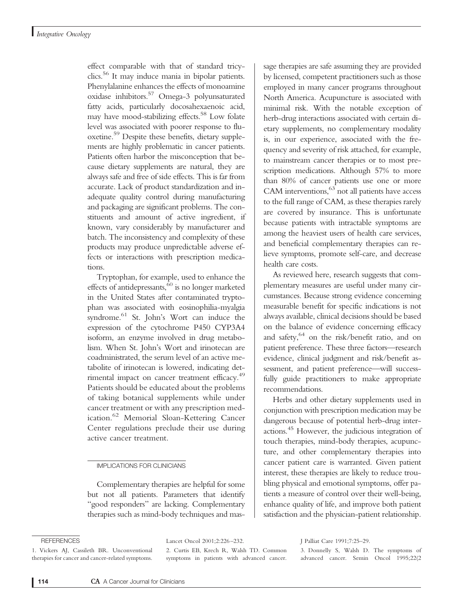effect comparable with that of standard tricyclics.56 It may induce mania in bipolar patients. Phenylalanine enhances the effects of monoamine oxidase inhibitors.57 Omega-3 polyunsaturated fatty acids, particularly docosahexaenoic acid, may have mood-stabilizing effects.<sup>58</sup> Low folate level was associated with poorer response to fluoxetine.59 Despite these benefits, dietary supplements are highly problematic in cancer patients. Patients often harbor the misconception that because dietary supplements are natural, they are always safe and free of side effects. This is far from accurate. Lack of product standardization and inadequate quality control during manufacturing and packaging are significant problems. The constituents and amount of active ingredient, if known, vary considerably by manufacturer and batch. The inconsistency and complexity of these products may produce unpredictable adverse effects or interactions with prescription medications.

Tryptophan, for example, used to enhance the effects of antidepressants, $60$  is no longer marketed in the United States after contaminated tryptophan was associated with eosinophilia-myalgia syndrome.<sup>61</sup> St. John's Wort can induce the expression of the cytochrome P450 CYP3A4 isoform, an enzyme involved in drug metabolism. When St. John's Wort and irinotecan are coadministrated, the serum level of an active metabolite of irinotecan is lowered, indicating detrimental impact on cancer treatment efficacy.<sup>49</sup> Patients should be educated about the problems of taking botanical supplements while under cancer treatment or with any prescription medication.<sup>62</sup> Memorial Sloan-Kettering Cancer Center regulations preclude their use during active cancer treatment.

### IMPLICATIONS FOR CLINICIANS

Complementary therapies are helpful for some but not all patients. Parameters that identify "good responders" are lacking. Complementary therapies such as mind-body techniques and mas-

sage therapies are safe assuming they are provided by licensed, competent practitioners such as those employed in many cancer programs throughout North America. Acupuncture is associated with minimal risk. With the notable exception of herb-drug interactions associated with certain dietary supplements, no complementary modality is, in our experience, associated with the frequency and severity of risk attached, for example, to mainstream cancer therapies or to most prescription medications. Although 57% to more than 80% of cancer patients use one or more CAM interventions,  $^{63}$  not all patients have access to the full range of CAM, as these therapies rarely are covered by insurance. This is unfortunate because patients with intractable symptoms are among the heaviest users of health care services, and beneficial complementary therapies can relieve symptoms, promote self-care, and decrease health care costs.

As reviewed here, research suggests that complementary measures are useful under many circumstances. Because strong evidence concerning measurable benefit for specific indications is not always available, clinical decisions should be based on the balance of evidence concerning efficacy and safety,  $64$  on the risk/benefit ratio, and on patient preference. These three factors—research evidence, clinical judgment and risk/benefit assessment, and patient preference—will successfully guide practitioners to make appropriate recommendations.

Herbs and other dietary supplements used in conjunction with prescription medication may be dangerous because of potential herb-drug interactions.<sup>45</sup> However, the judicious integration of touch therapies, mind-body therapies, acupuncture, and other complementary therapies into cancer patient care is warranted. Given patient interest, these therapies are likely to reduce troubling physical and emotional symptoms, offer patients a measure of control over their well-being, enhance quality of life, and improve both patient satisfaction and the physician-patient relationship.

Lancet Oncol 2001;2:226 –232.

2. Curtis EB, Krech R, Walsh TD. Common symptoms in patients with advanced cancer. J Palliat Care 1991;7:25–29.

3. Donnelly S, Walsh D. The symptoms of advanced cancer. Semin Oncol 1995;22(2

**REFERENCES** 

<sup>1.</sup> Vickers AJ, Cassileth BR. Unconventional therapies for cancer and cancer-related symptoms.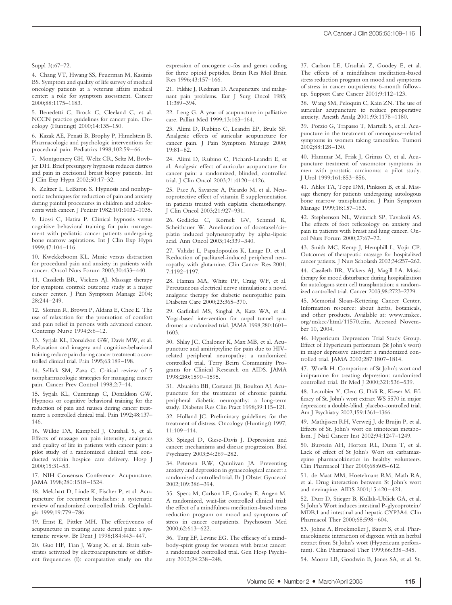#### Suppl 3):67–72.

4. Chang VT, Hwang SS, Feuerman M, Kasimis BS. Symptom and quality of life survey of medical oncology patients at a veterans affairs medical center: a role for symptom assessment. Cancer 2000;88:1175–1183.

5. Benedetti C, Brock C, Cleeland C, et al. NCCN practice guidelines for cancer pain. Oncology (Huntingt) 2000;14:135–150.

6. Kazak AE, Penati B, Brophy P, Himelstein B. Pharmacologic and psychologic interventions for procedural pain. Pediatrics 1998;102:59 –66.

7. Montgomery GH, Weltz CR, Seltz M, Bovbjer DH. Brief presurgery hypnosis reduces distress and pain in excisional breast biopsy patients. Int J Clin Exp Hypn 2002;50:17–32.

8. Zeltzer L, LeBaron S. Hypnosis and nonhypnotic techniques for reduction of pain and anxiety during painful procedures in children and adolescents with cancer. J Pediatr 1982;101:1032–1035.

9. Liossi C, Hatira P. Clinical hypnosis versus cognitive behavioral training for pain management with pediatric cancer patients undergoing bone marrow aspirations. Int J Clin Exp Hypn 1999;47:104 –116.

10. Kwekkeboom KL. Music versus distraction for procedural pain and anxiety in patients with cancer. Oncol Nurs Forum 2003;30:433–440.

11. Cassileth BR, Vickers AJ. Massage therapy for symptom control: outcome study at a major cancer center. J Pain Symptom Manage 2004; 28:244 –249.

12. Sloman R, Brown P, Aldana E, Chee E. The use of relaxation for the promotion of comfort and pain relief in persons with advanced cancer. Contemp Nurse 1994;3:6 –12.

13. Syrjala KL, Donaldson GW, Davis MW, et al. Relaxation and imagery and cognitive-behavioral training reduce pain during cancer treatment: a controlled clinical trial. Pain 1995;63:189 –198.

14. Sellick SM, Zaza C. Critical review of 5 nonpharmacologic strategies for managing cancer pain. Cancer Prev Control 1998;2:7–14.

15. Syrjala KL, Cummings C, Donaldson GW. Hypnosis or cognitive behavioral training for the reduction of pain and nausea during cancer treatment: a controlled clinical trial. Pain 1992;48:137– 146.

16. Wilkie DA, Kampbell J, Cutshall S, et al. Effects of massage on pain intensity, analgesics and quality of life in patients with cancer pain: a pilot study of a randomized clinical trial conducted within hospice care delivery. Hosp J 2000;15:31–53.

17. NIH Consensus Conference. Acupuncture. JAMA 1998;280:1518 –1524.

18. Melchart D, Linde K, Fischer P, et al. Acupuncture for recurrent headaches: a systematic review of randomized controlled trials. Cephalalgia 1999;19:779 –786.

19. Ernst E, Pittler MH. The effectiveness of acupuncture in treating acute dental pain: a systematic review. Br Dent J 1998;184:443–447.

20. Guo HF, Tian J, Wang X, et al. Brain substrates activated by electroacupuncture of different frequencies (I): comparative study on the expression of oncogene c-fos and genes coding for three opioid peptides. Brain Res Mol Brain Res 1996;43:157–166.

21. Filshie J, Redman D. Acupuncture and malignant pain problems. Eur J Surg Oncol 1985; 11:389 –394.

22. Leng G. A year of acupuncture in palliative care. Palliat Med 1999;13:163–164.

23. Alimi D, Rubino C, Leandri EP, Brule SF. Analgesic effects of auricular acupuncture for cancer pain. J Pain Symptom Manage 2000; 19:81–82.

24. Alimi D, Rubino C, Pichard-Leandri E, et al. Analgesic effect of auricular acupuncture for cancer pain: a randomized, blinded, controlled trial. J Clin Oncol 2003;21:4120 –4126.

25. Pace A, Savarese A, Picardo M, et al. Neuroprotective effect of vitamin E supplementation in patients treated with cisplatin chemotherapy. J Clin Oncol 2003;21:927–931.

26. Gedlicka C, Kornek GV, Schmid K, Scheithauer W. Amelioration of docetaxel/cisplatin induced polyneuropathy by alpha-lipoic acid. Ann Oncol 2003;14:339 –340.

27. Vahdat L, Papadopoulos K, Lange D, et al. Reduction of paclitaxel-induced peripheral neuropathy with glutamine. Clin Cancer Res 2001; 7:1192–1197.

28. Hamza MA, White PF, Craig WF, et al. Percutaneous electrical nerve stimulation: a novel analgesic therapy for diabetic neuropathic pain. Diabetes Care 2000;23:365–370.

29. Garfinkel MS, Singhal A, Katz WA, et al. Yoga-based intervention for carpal tunnel syndrome: a randomized trial. JAMA 1998;280:1601– 1603.

30. Shlay JC, Chaloner K, Max MB, et al. Acupuncture and amitriptyline for pain due to HIVrelated peripheral neuropathy: a randomized controlled trial. Terry Beirn Community Programs for Clinical Research on AIDS. JAMA 1998;280:1590 –1595.

31. Abuaisha BB, Costanzi JB, Boulton AJ. Acupuncture for the treatment of chronic painful peripheral diabetic neuropathy: a long-term study. Diabetes Res Clin Pract 1998;39:115–121.

32. Holland JC. Preliminary guidelines for the treatment of distress. Oncology (Huntingt) 1997; 11:109 –114.

33. Spiegel D, Giese-Davis J. Depression and cancer: mechanisms and disease progression. Biol Psychiatry 2003;54:269 –282.

34. Petersen RW, Quinlivan JA. Preventing anxiety and depression in gynaecological cancer: a randomised controlled trial. Br J Obstet Gynaecol 2002;109:386 –394.

35. Speca M, Carlson LE, Goodey E, Angen M. A randomized, wait-list controlled clinical trial: the effect of a mindfulness meditation-based stress reduction program on mood and symptoms of stress in cancer outpatients. Psychosom Med 2000;62:613–622.

36. Targ EF, Levine EG. The efficacy of a mindbody-spirit group for women with breast cancer: a randomized controlled trial. Gen Hosp Psychiatry 2002;24:238 –248.

37. Carlson LE, Ursuliak Z, Goodey E, et al. The effects of a mindfulness meditation-based stress reduction program on mood and symptoms of stress in cancer outpatients: 6-month followup. Support Care Cancer 2001;9:112–123.

38. Wang SM, Peloquin C, Kain ZN. The use of auricular acupuncture to reduce preoperative anxiety. Anesth Analg 2001;93:1178 –1180.

39. Porzio G, Trapasso T, Martelli S, et al. Acupuncture in the treatment of menopause-related symptoms in women taking tamoxifen. Tumori 2002;88:128 –130.

40. Hammar M, Frisk J, Grimas O, et al. Acupuncture treatment of vasomotor symptoms in men with prostatic carcinoma: a pilot study. J Urol 1999;161:853–856.

41. Ahles TA, Tope DM, Pinkson B, et al. Massage therapy for patients undergoing autologous bone marrow transplantation. J Pain Symptom Manage 1999;18:157–163.

42. Stephenson NL, Weinrich SP, Tavakoli AS. The effects of foot reflexology on anxiety and pain in patients with breast and lung cancer. Oncol Nurs Forum 2000;27:67–72.

43. Smith MC, Kemp J, Hemphill L, Vojir CP. Outcomes of therapeutic massage for hospitalized cancer patients. J Nurs Scholarsh 2002;34:257–262.

44. Cassileth BR, Vickers AJ, Magill LA. Music therapy for mood disturbance during hospitalization for autologous stem cell transplantation: a randomized controlled trial. Cancer 2003;98:2723–2729.

45. Memorial Sloan-Kettering Cancer Center. Information resource: about herbs, botanicals, and other products. Available at: www.mskcc. org/mskcc/html/11570.cfm. Accessed November 10, 2004.

46. Hypericum Depression Trial Study Group. Effect of Hypericum perforatum (St John's wort) in major depressive disorder: a randomized controlled trial. JAMA 2002;287:1807–1814.

47. Woelk H. Comparison of St John's wort and imipramine for treating depression: randomised controlled trial. Br Med J 2000;321:536 –539.

48. Lecrubier Y, Clerc G, Didi R, Kieser M. Efficacy of St. John's wort extract WS 5570 in major depression: a double-blind, placebo-controlled trial. Am J Psychiatry 2002;159:1361–1366.

49. Mathijssen RH, Verweij J, de Bruijn P, et al. Effects of St. John's wort on irinotecan metabolism. J Natl Cancer Inst 2002;94:1247–1249.

50. Burstein AH, Horton RL, Dunn T, et al. Lack of effect of St John's Wort on carbamazepine pharmacokinetics in healthy volunteers. Clin Pharmacol Ther 2000;68:605–612.

51. de Maat MM, Hoetelmans RM, Math RA, et al. Drug interaction between St John's wort and nevirapine. AIDS 2001;15:420 –421.

52. Durr D, Stieger B, Kullak-Ublick GA, et al. St John's Wort induces intestinal P-glycoprotein/ MDR1 and intestinal and hepatic CYP3A4. Clin Pharmacol Ther 2000;68:598 –604.

53. Johne A, Brockmoller J, Bauer S, et al. Pharmacokinetic interaction of digoxin with an herbal extract from St John's wort (Hypericum perforatum). Clin Pharmacol Ther 1999;66:338 –345.

54. Moore LB, Goodwin B, Jones SA, et al. St.